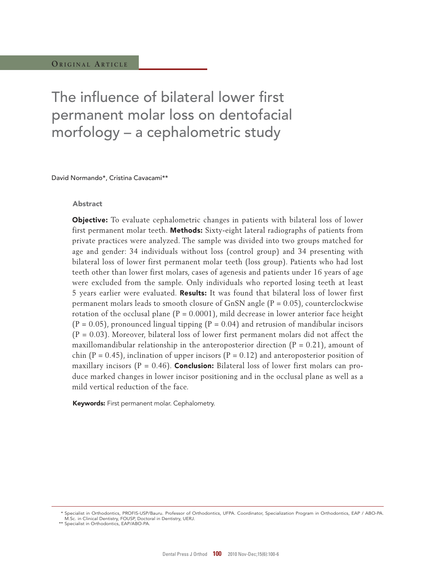The influence of bilateral lower first permanent molar loss on dentofacial morfology – a cephalometric study

David Normando\*, Cristina Cavacami\*\*

### Abstract

Objective: To evaluate cephalometric changes in patients with bilateral loss of lower first permanent molar teeth. **Methods:** Sixty-eight lateral radiographs of patients from private practices were analyzed. The sample was divided into two groups matched for age and gender: 34 individuals without loss (control group) and 34 presenting with bilateral loss of lower first permanent molar teeth (loss group). Patients who had lost teeth other than lower first molars, cases of agenesis and patients under 16 years of age were excluded from the sample. Only individuals who reported losing teeth at least 5 years earlier were evaluated. Results: It was found that bilateral loss of lower first permanent molars leads to smooth closure of GnSN angle  $(P = 0.05)$ , counterclockwise rotation of the occlusal plane  $(P = 0.0001)$ , mild decrease in lower anterior face height  $(P = 0.05)$ , pronounced lingual tipping  $(P = 0.04)$  and retrusion of mandibular incisors  $(P = 0.03)$ . Moreover, bilateral loss of lower first permanent molars did not affect the maxillomandibular relationship in the anteroposterior direction  $(P = 0.21)$ , amount of chin (P = 0.45), inclination of upper incisors (P = 0.12) and anteroposterior position of maxillary incisors ( $P = 0.46$ ). **Conclusion:** Bilateral loss of lower first molars can produce marked changes in lower incisor positioning and in the occlusal plane as well as a mild vertical reduction of the face.

Keywords: First permanent molar. Cephalometry.

 <sup>\*</sup> Specialist in Orthodontics, PROFIS-USP/Bauru. Professor of Orthodontics, UFPA. Coordinator, Specialization Program in Orthodontics, EAP / ABO-PA. M.Sc. in Clinical Dentistry, FOUSP, Doctoral in Dentistry, UERJ.

 <sup>\*\*</sup> Specialist in Orthodontics, EAP/ABO-PA.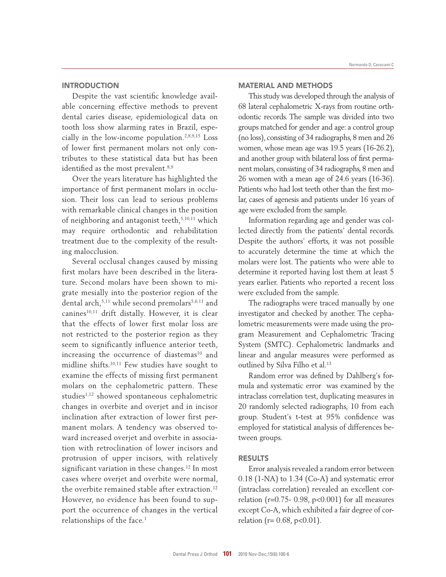# **INTRODUCTION**

Despite the vast scientific knowledge available concerning effective methods to prevent dental caries disease, epidemiological data on tooth loss show alarming rates in Brazil, especially in the low-income population.2,8,9,15 Loss of lower first permanent molars not only contributes to these statistical data but has been identified as the most prevalent.<sup>8,9</sup>

Over the years literature has highlighted the importance of first permanent molars in occlusion. Their loss can lead to serious problems with remarkable clinical changes in the position of neighboring and antagonist teeth,<sup>5,10,11</sup> which may require orthodontic and rehabilitation treatment due to the complexity of the resulting malocclusion.

Several occlusal changes caused by missing first molars have been described in the literature. Second molars have been shown to migrate mesially into the posterior region of the dental arch,<sup>5,11</sup> while second premolars<sup>5,6,11</sup> and canines<sup>10,11</sup> drift distally. However, it is clear that the effects of lower first molar loss are not restricted to the posterior region as they seem to significantly influence anterior teeth, increasing the occurrence of diastemas<sup>10</sup> and midline shifts.10,11 Few studies have sought to examine the effects of missing first permanent molars on the cephalometric pattern. These studies<sup>1,12</sup> showed spontaneous cephalometric changes in overbite and overjet and in incisor inclination after extraction of lower first permanent molars. A tendency was observed toward increased overjet and overbite in association with retroclination of lower incisors and protrusion of upper incisors, with relatively significant variation in these changes.<sup>12</sup> In most cases where overjet and overbite were normal, the overbite remained stable after extraction.<sup>12</sup> However, no evidence has been found to support the occurrence of changes in the vertical relationships of the face.<sup>1</sup>

## MAtERIAL AnD MEtHODS

This study was developed through the analysis of 68 lateral cephalometric X-rays from routine orthodontic records. The sample was divided into two groups matched for gender and age: a control group (no loss), consisting of 34 radiographs, 8 men and 26 women, whose mean age was 19.5 years (16-26.2), and another group with bilateral loss of first permanent molars, consisting of 34 radiographs, 8 men and 26 women with a mean age of 24.6 years (16-36). Patients who had lost teeth other than the first molar, cases of agenesis and patients under 16 years of age were excluded from the sample.

Information regarding age and gender was collected directly from the patients' dental records. Despite the authors' efforts, it was not possible to accurately determine the time at which the molars were lost. The patients who were able to determine it reported having lost them at least 5 years earlier. Patients who reported a recent loss were excluded from the sample.

The radiographs were traced manually by one investigator and checked by another. The cephalometric measurements were made using the program Measurement and Cephalometric Tracing System (SMTC). Cephalometric landmarks and linear and angular measures were performed as outlined by Silva Filho et al.<sup>13</sup>

Random error was defined by Dahlberg's formula and systematic error was examined by the intraclass correlation test, duplicating measures in 20 randomly selected radiographs, 10 from each group. Student's t-test at 95% confidence was employed for statistical analysis of differences between groups.

### RESULTS

Error analysis revealed a random error between 0.18 (1-NA) to 1.34 (Co-A) and systematic error (intraclass correlation) revealed an excellent correlation ( $r=0.75-0.98$ ,  $p<0.001$ ) for all measures except Co-A, which exhibited a fair degree of correlation ( $r = 0.68$ ,  $p < 0.01$ ).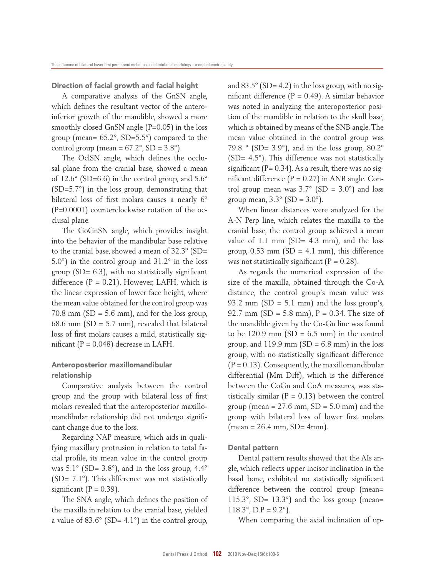Direction of facial growth and facial height

A comparative analysis of the GnSN angle, which defines the resultant vector of the anteroinferior growth of the mandible, showed a more smoothly closed GnSN angle (P=0.05) in the loss group (mean= 65.2°, SD=5.5°) compared to the control group (mean =  $67.2^\circ$ , SD =  $3.8^\circ$ ).

The OclSN angle, which defines the occlusal plane from the cranial base, showed a mean of 12.6° (SD=6.6) in the control group, and 5.6º (SD=5.7°) in the loss group, demonstrating that bilateral loss of first molars causes a nearly 6º (P=0.0001) counterclockwise rotation of the occlusal plane.

The GoGnSN angle, which provides insight into the behavior of the mandibular base relative to the cranial base, showed a mean of 32.3º (SD= 5.0°) in the control group and 31.2° in the loss group (SD= 6.3), with no statistically significant difference  $(P = 0.21)$ . However, LAFH, which is the linear expression of lower face height, where the mean value obtained for the control group was  $70.8$  mm  $(SD = 5.6$  mm), and for the loss group, 68.6 mm (SD = 5.7 mm), revealed that bilateral loss of first molars causes a mild, statistically significant  $(P = 0.048)$  decrease in LAFH.

# Anteroposterior maxillomandibular relationship

Comparative analysis between the control group and the group with bilateral loss of first molars revealed that the anteroposterior maxillomandibular relationship did not undergo significant change due to the loss.

Regarding NAP measure, which aids in qualifying maxillary protrusion in relation to total facial profile, its mean value in the control group was  $5.1^\circ$  (SD=  $3.8^\circ$ ), and in the loss group,  $4.4^\circ$ (SD= 7.1º). This difference was not statistically significant ( $P = 0.39$ ).

The SNA angle, which defines the position of the maxilla in relation to the cranial base, yielded a value of  $83.6^\circ$  (SD=  $4.1^\circ$ ) in the control group, and  $83.5^{\circ}$  (SD= 4.2) in the loss group, with no significant difference  $(P = 0.49)$ . A similar behavior was noted in analyzing the anteroposterior position of the mandible in relation to the skull base, which is obtained by means of the SNB angle. The mean value obtained in the control group was 79.8  $\degree$  (SD= 3.9 $\degree$ ), and in the loss group, 80.2 $\degree$ (SD= 4.5°). This difference was not statistically significant ( $P = 0.34$ ). As a result, there was no significant difference  $(P = 0.27)$  in ANB angle. Control group mean was  $3.7^{\circ}$  (SD =  $3.0^{\circ}$ ) and loss group mean,  $3.3^\circ$  (SD =  $3.0^\circ$ ).

When linear distances were analyzed for the A-N Perp line, which relates the maxilla to the cranial base, the control group achieved a mean value of 1.1 mm  $(SD = 4.3$  mm), and the loss group,  $0.53$  mm (SD = 4.1 mm), this difference was not statistically significant  $(P = 0.28)$ .

As regards the numerical expression of the size of the maxilla, obtained through the Co-A distance, the control group's mean value was 93.2 mm (SD =  $5.1$  mm) and the loss group's, 92.7 mm (SD =  $5.8$  mm), P = 0.34. The size of the mandible given by the Co-Gn line was found to be  $120.9$  mm (SD = 6.5 mm) in the control group, and  $119.9$  mm (SD = 6.8 mm) in the loss group, with no statistically significant difference  $(P = 0.13)$ . Consequently, the maxillomandibular differential (Mm Diff), which is the difference between the CoGn and CoA measures, was statistically similar ( $P = 0.13$ ) between the control group (mean =  $27.6$  mm,  $SD = 5.0$  mm) and the group with bilateral loss of lower first molars  $(mean = 26.4 mm, SD = 4 mm).$ 

### Dental pattern

Dental pattern results showed that the AIs angle, which reflects upper incisor inclination in the basal bone, exhibited no statistically significant difference between the control group (mean= 115.3°, SD=  $13.3^\circ$ ) and the loss group (mean=  $118.3^\circ$ , D.P =  $9.2^\circ$ ).

When comparing the axial inclination of up-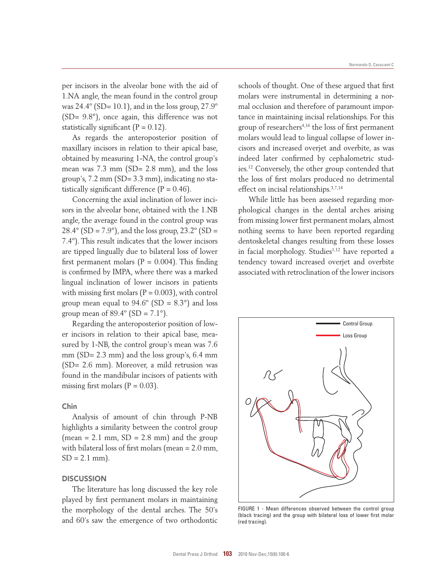per incisors in the alveolar bone with the aid of 1.NA angle, the mean found in the control group was  $24.4^\circ$  (SD= 10.1), and in the loss group,  $27.9^\circ$ (SD= 9.8°), once again, this difference was not statistically significant  $(P = 0.12)$ .

As regards the anteroposterior position of maxillary incisors in relation to their apical base, obtained by measuring 1-NA, the control group's mean was 7.3 mm (SD= 2.8 mm), and the loss group's, 7.2 mm (SD= 3.3 mm), indicating no statistically significant difference  $(P = 0.46)$ .

Concerning the axial inclination of lower incisors in the alveolar bone, obtained with the 1.NB angle, the average found in the control group was  $28.4^{\circ}$  (SD = 7.9°), and the loss group, 23.2° (SD = 7.4º). This result indicates that the lower incisors are tipped lingually due to bilateral loss of lower first permanent molars  $(P = 0.004)$ . This finding is confirmed by IMPA, where there was a marked lingual inclination of lower incisors in patients with missing first molars  $(P = 0.003)$ , with control group mean equal to  $94.6^{\circ}$  (SD =  $8.3^{\circ}$ ) and loss group mean of  $89.4^\circ$  (SD =  $7.1^\circ$ ).

Regarding the anteroposterior position of lower incisors in relation to their apical base, measured by 1-NB, the control group's mean was 7.6 mm (SD= 2.3 mm) and the loss group's, 6.4 mm (SD= 2.6 mm). Moreover, a mild retrusion was found in the mandibular incisors of patients with missing first molars  $(P = 0.03)$ .

## Chin

Analysis of amount of chin through P-NB highlights a similarity between the control group  $(mean = 2.1 mm, SD = 2.8 mm)$  and the group with bilateral loss of first molars (mean = 2.0 mm,  $SD = 2.1$  mm).

#### **DISCUSSION**

The literature has long discussed the key role played by first permanent molars in maintaining the morphology of the dental arches. The 50's and 60's saw the emergence of two orthodontic

schools of thought. One of these argued that first molars were instrumental in determining a normal occlusion and therefore of paramount importance in maintaining incisal relationships. For this group of researchers4,16 the loss of first permanent molars would lead to lingual collapse of lower incisors and increased overjet and overbite, as was indeed later confirmed by cephalometric studies.<sup>12</sup> Conversely, the other group contended that the loss of first molars produced no detrimental effect on incisal relationships.3,7,14

While little has been assessed regarding morphological changes in the dental arches arising from missing lower first permanent molars, almost nothing seems to have been reported regarding dentoskeletal changes resulting from these losses in facial morphology. Studies<sup>1,12</sup> have reported a tendency toward increased overjet and overbite associated with retroclination of the lower incisors



FIGURE 1 - Mean differences observed between the control group (black tracing) and the group with bilateral loss of lower first molar (red tracing).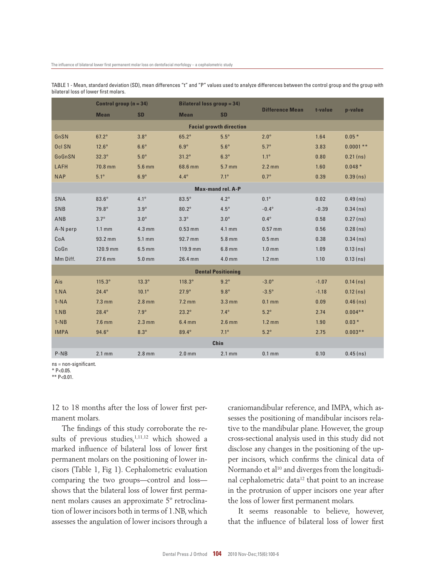|                                | Control group $(n = 34)$ |                | <b>Bilateral loss group = 34)</b> |                  |                        |         |             |
|--------------------------------|--------------------------|----------------|-----------------------------------|------------------|------------------------|---------|-------------|
|                                | <b>Mean</b>              | <b>SD</b>      | <b>Mean</b>                       | <b>SD</b>        | <b>Difference Mean</b> | t-value | p-value     |
| <b>Facial growth direction</b> |                          |                |                                   |                  |                        |         |             |
| GnSN                           | $67.2^\circ$             | $3.8^\circ$    | $65.2^{\circ}$                    | $5.5^\circ$      | $2.0^\circ$            | 1.64    | $0.05*$     |
| Ocl SN                         | $12.6^\circ$             | $6.6^\circ$    | $6.9^\circ$                       | $5.6^\circ$      | $5.7^\circ$            | 3.83    | $0.0001$ ** |
| GoGnSN                         | $32.3^\circ$             | $5.0^\circ$    | $31.2^\circ$                      | $6.3^\circ$      | $1.1^{\circ}$          | 0.80    | $0.21$ (ns) |
| LAFH                           | 70.8 mm                  | $5.6$ mm       | 68.6 mm                           | 5.7 mm           | $2.2$ mm               | 1.60    | $0.048*$    |
| <b>NAP</b>                     | $5.1^\circ$              | $6.9^\circ$    | $4.4^{\circ}$                     | $7.1^{\circ}$    | $0.7^\circ$            | 0.39    | $0.39$ (ns) |
| <b>Max-mand rel. A-P</b>       |                          |                |                                   |                  |                        |         |             |
| <b>SNA</b>                     | $83.6^\circ$             | $4.1^{\circ}$  | $83.5^\circ$                      | $4.2^\circ$      | $0.1^\circ$            | 0.02    | $0.49$ (ns) |
| SNB                            | 79.8°                    | $3.9^\circ$    | $80.2^\circ$                      | $4.5^\circ$      | $-0.4^{\circ}$         | $-0.39$ | $0.34$ (ns) |
| ANB                            | $3.7^\circ$              | $3.0^\circ$    | $3.3^\circ$                       | $3.0^\circ$      | $0.4^\circ$            | 0.58    | $0.27$ (ns) |
| A-N perp                       | $1.1 \text{ mm}$         | $4.3$ mm       | $0.53$ mm                         | 4.1 mm           | $0.57$ mm              | 0.56    | $0.28$ (ns) |
| CoA                            | 93.2 mm                  | $5.1$ mm       | 92.7 mm                           | $5.8$ mm         | $0.5$ mm               | 0.38    | $0.34$ (ns) |
| CoGn                           | 120.9 mm                 | $6.5$ mm       | 119.9 mm                          | $6.8$ mm         | 1.0 <sub>mm</sub>      | 1.09    | $0.13$ (ns) |
| Mm Diff.                       | 27.6 mm                  | $5.0$ mm       | 26.4 mm                           | $4.0$ mm         | $1.2 \text{ mm}$       | 1.10    | $0.13$ (ns) |
| <b>Dental Positioning</b>      |                          |                |                                   |                  |                        |         |             |
| Ais                            | $115.3^\circ$            | $13.3^\circ$   | $118.3^\circ$                     | $9.2^\circ$      | $-3.0^{\circ}$         | $-1.07$ | $0.14$ (ns) |
| 1.NA                           | $24.4^{\circ}$           | $10.1^{\circ}$ | $27.9^\circ$                      | $9.8^\circ$      | $-3.5^{\circ}$         | $-1.18$ | $0.12$ (ns) |
| $1-NA$                         | $7.3$ mm                 | $2.8$ mm       | $7.2$ mm                          | $3.3 \text{ mm}$ | $0.1$ mm               | 0.09    | $0.46$ (ns) |
| 1.NB                           | $28.4^{\circ}$           | $7.9^\circ$    | $23.2^\circ$                      | $7.4^\circ$      | $5.2^\circ$            | 2.74    | $0.004**$   |
| $1-NB$                         | $7.6$ mm                 | $2.3$ mm       | $6.4$ mm                          | $2.6$ mm         | $1.2 \text{ mm}$       | 1.90    | $0.03*$     |
| <b>IMPA</b>                    | $94.6^\circ$             | $8.3^\circ$    | 89.4°                             | $7.1^{\circ}$    | $5.2^\circ$            | 2.75    | $0.003***$  |
| Chin                           |                          |                |                                   |                  |                        |         |             |
| $P-NB$                         | $2.1$ mm                 | $2.8$ mm       | $2.0$ mm                          | $2.1$ mm         | $0.1$ mm               | 0.10    | $0.45$ (ns) |

TABLE 1 - Mean, standard deviation (SD), mean differences "t" and "P" values used to analyze differences between the control group and the group with bilateral loss of lower first molars.

ns = non-significant.

\* P<0.05.

\*\* P<0.01.

12 to 18 months after the loss of lower first permanent molars.

The findings of this study corroborate the results of previous studies,<sup>1,11,12</sup> which showed a marked influence of bilateral loss of lower first permanent molars on the positioning of lower incisors (Table 1, Fig 1). Cephalometric evaluation comparing the two groups—control and loss shows that the bilateral loss of lower first permanent molars causes an approximate 5º retroclination of lower incisors both in terms of 1.NB, which assesses the angulation of lower incisors through a craniomandibular reference, and IMPA, which assesses the positioning of mandibular incisors relative to the mandibular plane. However, the group cross-sectional analysis used in this study did not disclose any changes in the positioning of the upper incisors, which confirms the clinical data of Normando et al<sup>10</sup> and diverges from the longitudinal cephalometric data<sup>12</sup> that point to an increase in the protrusion of upper incisors one year after the loss of lower first permanent molars.

It seems reasonable to believe, however, that the influence of bilateral loss of lower first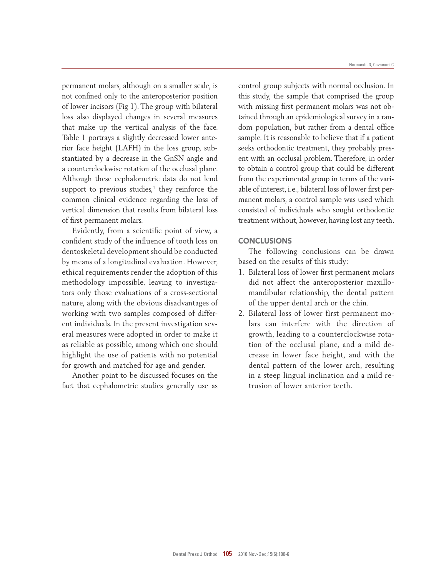permanent molars, although on a smaller scale, is not confined only to the anteroposterior position of lower incisors (Fig 1). The group with bilateral loss also displayed changes in several measures that make up the vertical analysis of the face. Table 1 portrays a slightly decreased lower anterior face height (LAFH) in the loss group, substantiated by a decrease in the GnSN angle and a counterclockwise rotation of the occlusal plane. Although these cephalometric data do not lend support to previous studies, $<sup>1</sup>$  they reinforce the</sup> common clinical evidence regarding the loss of vertical dimension that results from bilateral loss of first permanent molars.

Evidently, from a scientific point of view, a confident study of the influence of tooth loss on dentoskeletal development should be conducted by means of a longitudinal evaluation. However, ethical requirements render the adoption of this methodology impossible, leaving to investigators only those evaluations of a cross-sectional nature, along with the obvious disadvantages of working with two samples composed of different individuals. In the present investigation several measures were adopted in order to make it as reliable as possible, among which one should highlight the use of patients with no potential for growth and matched for age and gender.

Another point to be discussed focuses on the fact that cephalometric studies generally use as

control group subjects with normal occlusion. In this study, the sample that comprised the group with missing first permanent molars was not obtained through an epidemiological survey in a random population, but rather from a dental office sample. It is reasonable to believe that if a patient seeks orthodontic treatment, they probably present with an occlusal problem. Therefore, in order to obtain a control group that could be different from the experimental group in terms of the variable of interest, i.e., bilateral loss of lower first permanent molars, a control sample was used which consisted of individuals who sought orthodontic treatment without, however, having lost any teeth.

## **CONCLUSIONS**

The following conclusions can be drawn based on the results of this study:

- 1. Bilateral loss of lower first permanent molars did not affect the anteroposterior maxillomandibular relationship, the dental pattern of the upper dental arch or the chin.
- 2. Bilateral loss of lower first permanent molars can interfere with the direction of growth, leading to a counterclockwise rotation of the occlusal plane, and a mild decrease in lower face height, and with the dental pattern of the lower arch, resulting in a steep lingual inclination and a mild retrusion of lower anterior teeth.